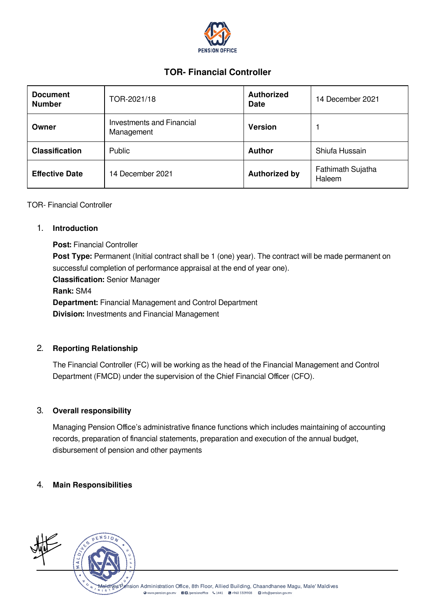

# TOR- Financial Controller

| <b>Document</b><br><b>Number</b> | TOR-2021/18                             | <b>Authorized</b><br><b>Date</b> | 14 December 2021            |
|----------------------------------|-----------------------------------------|----------------------------------|-----------------------------|
| Owner                            | Investments and Financial<br>Management | <b>Version</b>                   |                             |
| <b>Classification</b>            | Public                                  | <b>Author</b>                    | Shiufa Hussain              |
| <b>Effective Date</b>            | 14 December 2021                        | <b>Authorized by</b>             | Fathimath Sujatha<br>Haleem |

TOR- Financial Controller

#### 1. Introduction

Post: Financial Controller Post Type: Permanent (Initial contract shall be 1 (one) year). The contract will be made permanent on successful completion of performance appraisal at the end of year one). Classification: Senior Manager Rank: SM4 Department: Financial Management and Control Department Division: Investments and Financial Management

### 2. Reporting Relationship

The Financial Controller (FC) will be working as the head of the Financial Management and Control Department (FMCD) under the supervision of the Chief Financial Officer (CFO).

#### 3. Overall responsibility

Managing Pension Office's administrative finance functions which includes maintaining of accounting records, preparation of financial statements, preparation and execution of the annual budget, disbursement of pension and other payments

#### 4. Main Responsibilities

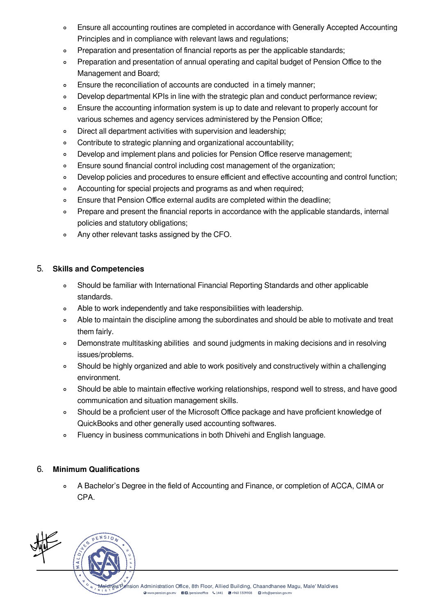- Ensure all accounting routines are completed in accordance with Generally Accepted Accounting  $\circ$ Principles and in compliance with relevant laws and regulations;
- Preparation and presentation of financial reports as per the applicable standards;  $\circ$
- Preparation and presentation of annual operating and capital budget of Pension Office to the  $\circ$ Management and Board;
- Ensure the reconciliation of accounts are conducted in a timely manner;  $\circ$
- Develop departmental KPIs in line with the strategic plan and conduct performance review;  $\circ$
- Ensure the accounting information system is up to date and relevant to properly account for  $\circ$ various schemes and agency services administered by the Pension Office;
- Direct all department activities with supervision and leadership;  $\circ$
- Contribute to strategic planning and organizational accountability;  $\circ$
- Develop and implement plans and policies for Pension Office reserve management;  $\circ$
- Ensure sound financial control including cost management of the organization;  $\circ$
- Develop policies and procedures to ensure efficient and effective accounting and control function;  $\circ$
- Accounting for special projects and programs as and when required;  $\circ$
- Ensure that Pension Office external audits are completed within the deadline;  $\circ$
- Prepare and present the financial reports in accordance with the applicable standards, internal  $\circ$ policies and statutory obligations;
- $\circ$ Any other relevant tasks assigned by the CFO.

### 5. Skills and Competencies

- $\circ$ Should be familiar with International Financial Reporting Standards and other applicable standards.
- Able to work independently and take responsibilities with leadership.  $\circ$
- Able to maintain the discipline among the subordinates and should be able to motivate and treat  $\circ$ them fairly.
- Demonstrate multitasking abilities and sound judgments in making decisions and in resolving  $\circ$ issues/problems.
- Should be highly organized and able to work positively and constructively within a challenging  $\circ$ environment.
- Should be able to maintain effective working relationships, respond well to stress, and have good  $\circ$ communication and situation management skills.
- Should be a proficient user of the Microsoft Office package and have proficient knowledge of  $\circ$ QuickBooks and other generally used accounting softwares.
- Fluency in business communications in both Dhivehi and English language.  $\circ$

## 6. Minimum Qualifications

A Bachelor's Degree in the field of Accounting and Finance, or completion of ACCA, CIMA or  $\alpha$ CPA.